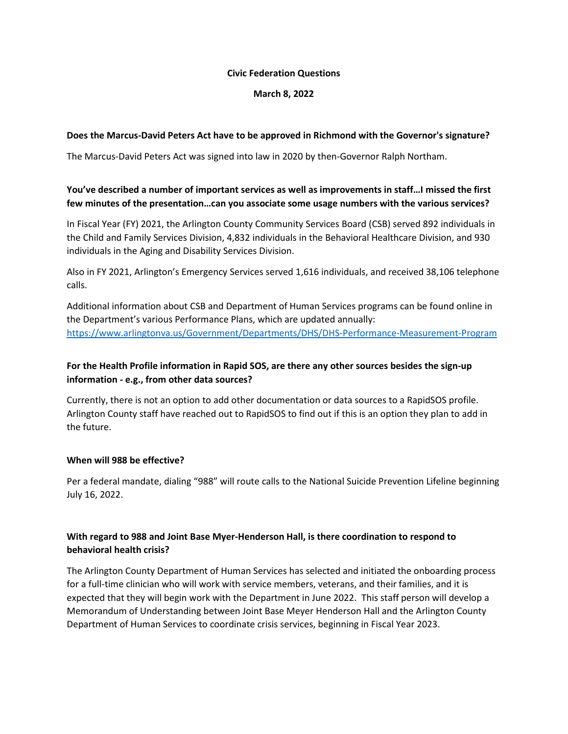#### **Civic Federation Questions**

### **March 8, 2022**

### **Does the Marcus-David Peters Act have to be approved in Richmond with the Governor's signature?**

The Marcus-David Peters Act was signed into law in 2020 by then-Governor Ralph Northam.

### **You've described a number of important services as well as improvements in staff…I missed the first few minutes of the presentation…can you associate some usage numbers with the various services?**

In Fiscal Year (FY) 2021, the Arlington County Community Services Board (CSB) served 892 individuals in the Child and Family Services Division, 4,832 individuals in the Behavioral Healthcare Division, and 930 individuals in the Aging and Disability Services Division.

Also in FY 2021, Arlington's Emergency Services served 1,616 individuals, and received 38,106 telephone calls.

Additional information about CSB and Department of Human Services programs can be found online in the Department's various Performance Plans, which are updated annually: <https://www.arlingtonva.us/Government/Departments/DHS/DHS-Performance-Measurement-Program>

# **For the Health Profile information in Rapid SOS, are there any other sources besides the sign-up information - e.g., from other data sources?**

Currently, there is not an option to add other documentation or data sources to a RapidSOS profile. Arlington County staff have reached out to RapidSOS to find out if this is an option they plan to add in the future.

### **When will 988 be effective?**

Per a federal mandate, dialing "988" will route calls to the National Suicide Prevention Lifeline beginning July 16, 2022.

# **With regard to 988 and Joint Base Myer-Henderson Hall, is there coordination to respond to behavioral health crisis?**

The Arlington County Department of Human Services has selected and initiated the onboarding process for a full-time clinician who will work with service members, veterans, and their families, and it is expected that they will begin work with the Department in June 2022. This staff person will develop a Memorandum of Understanding between Joint Base Meyer Henderson Hall and the Arlington County Department of Human Services to coordinate crisis services, beginning in Fiscal Year 2023.